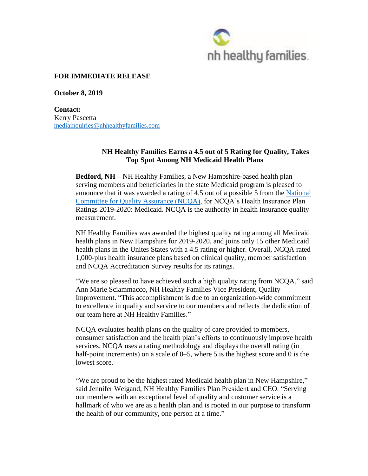

# **FOR IMMEDIATE RELEASE**

**October 8, 2019**

**Contact:** Kerry Pascetta [mediainquiries@nhhealthyfamilies.com](mailto:mediainquiries@nhhealthyfamilies.com)

## **NH Healthy Families Earns a 4.5 out of 5 Rating for Quality, Takes Top Spot Among NH Medicaid Health Plans**

**Bedford, NH –** NH Healthy Families, a New Hampshire-based health plan serving members and beneficiaries in the state Medicaid program is pleased to announce that it was awarded a rating of 4.5 out of a possible 5 from the [National](http://healthinsuranceratings.ncqa.org/2019/search/Medicaid)  Committee for [Quality Assurance](http://healthinsuranceratings.ncqa.org/2019/search/Medicaid) (NCQA), for NCQA's Health Insurance Plan Ratings 2019-2020: Medicaid. NCQA is the authority in health insurance quality measurement.

NH Healthy Families was awarded the highest quality rating among all Medicaid health plans in New Hampshire for 2019-2020, and joins only 15 other Medicaid health plans in the Unites States with a 4.5 rating or higher. Overall, NCQA rated 1,000-plus health insurance plans based on clinical quality, member satisfaction and NCQA Accreditation Survey results for its ratings.

"We are so pleased to have achieved such a high quality rating from NCQA," said Ann Marie Sciammacco, NH Healthy Families Vice President, Quality Improvement. "This accomplishment is due to an organization-wide commitment to excellence in quality and service to our members and reflects the dedication of our team here at NH Healthy Families."

NCQA evaluates health plans on the quality of care provided to members, consumer satisfaction and the health plan's efforts to continuously improve health services. NCQA uses a rating methodology and displays the overall rating (in half-point increments) on a scale of 0–5, where 5 is the highest score and 0 is the lowest score.

"We are proud to be the highest rated Medicaid health plan in New Hampshire," said Jennifer Weigand, NH Healthy Families Plan President and CEO. "Serving our members with an exceptional level of quality and customer service is a hallmark of who we are as a health plan and is rooted in our purpose to transform the health of our community, one person at a time."